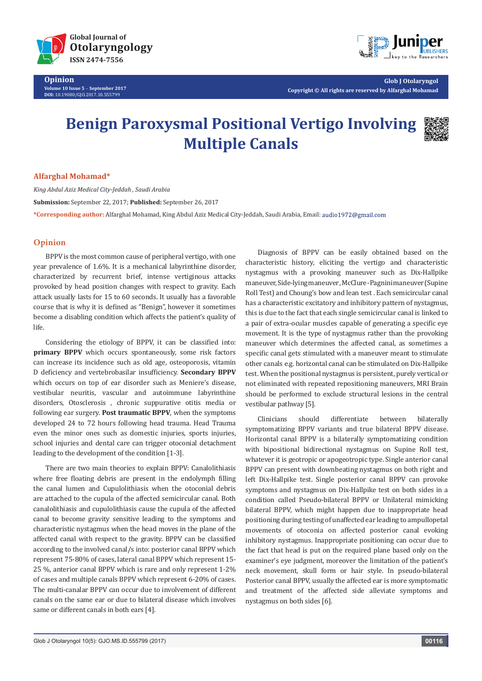

**Opinion Volume 10 Issue 5** - **September 2017 DOI:** [10.19080/GJO.2017.10.555799](http://dx.doi.org/10.19080/GJO.2017.10.555799)



**Glob J Otolaryngol Copyright © All rights are reserved by Alfarghal Mohamad**

# **Benign Paroxysmal Positional Vertigo Involving Multiple Canals**



## **Alfarghal Mohamad\***

*King Abdul Aziz Medical City-Jeddah , Saudi Arabia* **Submission:** September 22, 2017; **Published:** September 26, 2017 **\*Corresponding author:** Alfarghal Mohamad, King Abdul Aziz Medical City-Jeddah, Saudi Arabia, Email:

### **Opinion**

BPPV is the most common cause of peripheral vertigo, with one year prevalence of 1.6%. It is a mechanical labyrinthine disorder, characterized by recurrent brief, intense vertiginous attacks provoked by head position changes with respect to gravity. Each attack usually lasts for 15 to 60 seconds. It usually has a favorable course that is why it is defined as "Benign", however it sometimes become a disabling condition which affects the patient's quality of life.

Considering the etiology of BPPV, it can be classified into: **primary BPPV** which occurs spontaneously, some risk factors can increase its incidence such as old age, osteoporosis, vitamin D deficiency and vertebrobasilar insufficiency. **Secondary BPPV** which occurs on top of ear disorder such as Meniere's disease, vestibular neuritis, vascular and autoimmune labyrinthine disorders, Otosclerosis , chronic suppurative otitis media or following ear surgery. **Post traumatic BPPV**, when the symptoms developed 24 to 72 hours following head trauma. Head Trauma even the minor ones such as domestic injuries, sports injuries, school injuries and dental care can trigger otoconial detachment leading to the development of the condition [1-3].

There are two main theories to explain BPPV: Canalolithiasis where free floating debris are present in the endolymph filling the canal lumen and Cupulolithiasis when the otoconial debris are attached to the cupula of the affected semicircular canal. Both canalolithiasis and cupulolithiasis cause the cupula of the affected canal to become gravity sensitive leading to the symptoms and characteristic nystagmus when the head moves in the plane of the affected canal with respect to the gravity. BPPV can be classified according to the involved canal/s into: posterior canal BPPV which represent 75-80% of cases, lateral canal BPPV which represent 15- 25 %, anterior canal BPPV which is rare and only represent 1-2% of cases and multiple canals BPPV which represent 6-20% of cases. The multi-canalar BPPV can occur due to involvement of different canals on the same ear or due to bilateral disease which involves same or different canals in both ears [4].

Diagnosis of BPPV can be easily obtained based on the characteristic history, eliciting the vertigo and characteristic nystagmus with a provoking maneuver such as Dix-Hallpike maneuver, Side-lying maneuver , McClure -Pagnini maneuver (Supine Roll Test) and Choung's bow and lean test . Each semicircular canal has a characteristic excitatory and inhibitory pattern of nystagmus, this is due to the fact that each single semicircular canal is linked to a pair of extra-ocular muscles capable of generating a specific eye movement. It is the type of nystagmus rather than the provoking maneuver which determines the affected canal, as sometimes a specific canal gets stimulated with a maneuver meant to stimulate other canals e.g. horizontal canal can be stimulated on Dix-Hallpike test. When the positional nystagmus is persistent, purely vertical or not eliminated with repeated repositioning maneuvers, MRI Brain should be performed to exclude structural lesions in the central vestibular pathway [5].

Clinicians should differentiate between bilaterally symptomatizing BPPV variants and true bilateral BPPV disease. Horizontal canal BPPV is a bilaterally symptomatizing condition with bipositional bidirectional nystagmus on Supine Roll test, whatever it is geotropic or apogeotropic type. Single anterior canal BPPV can present with downbeating nystagmus on both right and left Dix-Hallpike test. Single posterior canal BPPV can provoke symptoms and nystagmus on Dix-Hallpike test on both sides in a condition called Pseudo-bilateral BPPV or Unilateral mimicking bilateral BPPV, which might happen due to inappropriate head positioning during testing of unaffected ear leading to ampullopetal movements of otoconia on affected posterior canal evoking inhibitory nystagmus. Inappropriate positioning can occur due to the fact that head is put on the required plane based only on the examiner's eye judgment, moreover the limitation of the patient's neck movement, skull form or hair style. In pseudo-bilateral Posterior canal BPPV, usually the affected ear is more symptomatic and treatment of the affected side alleviate symptoms and nystagmus on both sides [6].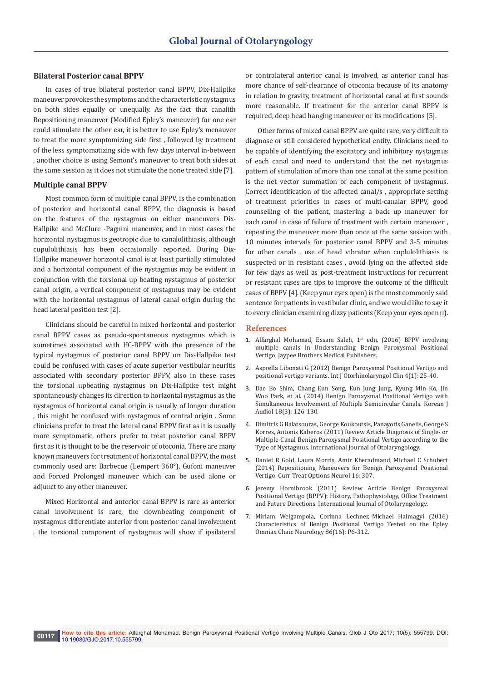#### **Bilateral Posterior canal BPPV**

In cases of true bilateral posterior canal BPPV, Dix-Hallpike maneuver provokes the symptoms and the characteristic nystagmus on both sides equally or unequally. As the fact that canalith Repositioning maneuver (Modified Epley's maneuver) for one ear could stimulate the other ear, it is better to use Epley's menauver to treat the more symptomizing side first , followed by treatment of the less symptomatizing side with few days interval in-between , another choice is using Semont's maneuver to treat both sides at the same session as it does not stimulate the none treated side [7].

## **Multiple canal BPPV**

Most common form of multiple canal BPPV, is the combination of posterior and horizontal canal BPPV, the diagnosis is based on the features of the nystagmus on either maneuvers Dix-Hallpike and McClure -Pagnini maneuver, and in most cases the horizontal nystagmus is geotropic due to canalolithiasis, although cupulolithiasis has been occasionally reported. During Dix-Hallpike maneuver horizontal canal is at least partially stimulated and a horizontal component of the nystagmus may be evident in conjunction with the torsional up beating nystagmus of posterior canal origin, a vertical component of nystagmus may be evident with the horizontal nystagmus of lateral canal origin during the head lateral position test [2].

Clinicians should be careful in mixed horizontal and posterior canal BPPV cases as pseudo-spontaneous nystagmus which is sometimes associated with HC-BPPV with the presence of the typical nystagmus of posterior canal BPPV on Dix-Hallpike test could be confused with cases of acute superior vestibular neuritis associated with secondary posterior BPPV, also in these cases the torsional upbeating nystagmus on Dix-Hallpike test might spontaneously changes its direction to horizontal nystagmus as the nystagmus of horizontal canal origin is usually of longer duration , this might be confused with nystagmus of central origin . Some clinicians prefer to treat the lateral canal BPPV first as it is usually more symptomatic, others prefer to treat posterior canal BPPV first as it is thought to be the reservoir of otoconia. There are many known maneuvers for treatment of horizontal canal BPPV, the most commonly used are: Barbecue (Lempert 360°), Gufoni maneuver and Forced Prolonged maneuver which can be used alone or adjunct to any other maneuver.

Mixed Horizontal and anterior canal BPPV is rare as anterior canal involvement is rare, the downbeating component of nystagmus differentiate anterior from posterior canal involvement , the torsional component of nystagmus will show if ipsilateral

or contralateral anterior canal is involved, as anterior canal has more chance of self-clearance of otoconia because of its anatomy in relation to gravity, treatment of horizontal canal at first sounds more reasonable. If treatment for the anterior canal BPPV is required, deep head hanging maneuver or its modifications [5].

Other forms of mixed canal BPPV are quite rare, very difficult to diagnose or still considered hypothetical entity. Clinicians need to be capable of identifying the excitatory and inhibitory nystagmus of each canal and need to understand that the net nystagmus pattern of stimulation of more than one canal at the same position is the net vector summation of each component of nystagmus. Correct identification of the affected canal/s , appropriate setting of treatment priorities in cases of multi-canalar BPPV, good counselling of the patient, mastering a back up maneuver for each canal in case of failure of treatment with certain maneuver , repeating the maneuver more than once at the same session with 10 minutes intervals for posterior canal BPPV and 3-5 minutes for other canals , use of head vibrator when cuplulolithiasis is suspected or in resistant cases , avoid lying on the affected side for few days as well as post-treatment instructions for recurrent or resistant cases are tips to improve the outcome of the difficult cases of BPPV [4]. (Keep your eyes open) is the most commonly said sentence for patients in vestibular clinic, and we would like to say it to every clinician examining dizzy patients (Keep your eyes open [1].

#### **References**

- 1. [Alfarghal Mohamad, Essam Saleh, 1](http://ejao.org/journal/view.php?number=149&viewtype=pubreader)<sup>st</sup> edn, (2016) BPPV involving [multiple canals in Understanding Benign Paroxysmal Positional](http://ejao.org/journal/view.php?number=149&viewtype=pubreader)  [Vertigo, Jaypee Brothers Medical Publishers.](http://ejao.org/journal/view.php?number=149&viewtype=pubreader)
- 2. [Asprella Libonati G \(2012\) Benign Paroxysmal Positional Vertigo and](https://www.ncbi.nlm.nih.gov/pubmed/27638076)  [positional vertigo variants. Int J Otorhinolaryngol Clin 4\(1\): 25-40.](https://www.ncbi.nlm.nih.gov/pubmed/27638076)
- 3. [Dae Bo Shim, Chang Eun Song, Eun Jung Jung, Kyung Min Ko, Jin](https://www.ncbi.nlm.nih.gov/pmc/articles/PMC4280754/)  [Woo Park, et al. \(2014\) Benign Paroxysmal Positional Vertigo with](https://www.ncbi.nlm.nih.gov/pmc/articles/PMC4280754/)  [Simultaneous Involvement of Multiple Semicircular Canals. Korean J](https://www.ncbi.nlm.nih.gov/pmc/articles/PMC4280754/)  [Audiol 18\(3\): 126-130.](https://www.ncbi.nlm.nih.gov/pmc/articles/PMC4280754/)
- 4. [Dimitris G Balatsouras, George Koukoutsis, Panayotis Ganelis, George S](https://www.ncbi.nlm.nih.gov/pubmed/21792356)  [Korres, Antonis Kaberos \(2011\) Review Article Diagnosis of Single- or](https://www.ncbi.nlm.nih.gov/pubmed/21792356)  [Multiple-Canal Benign Paroxysmal Positional Vertigo according to the](https://www.ncbi.nlm.nih.gov/pubmed/21792356)  [Type of Nystagmus. International Journal of Otolaryngology.](https://www.ncbi.nlm.nih.gov/pubmed/21792356)
- 5. [Daniel R Gold, Laura Morris, Amir Kheradmand, Michael C Schubert](https://www.ncbi.nlm.nih.gov/pubmed/25007983)  [\(2014\) Repositioning Maneuvers for Benign Paroxysmal Positional](https://www.ncbi.nlm.nih.gov/pubmed/25007983)  [Vertigo. Curr Treat Options Neurol 16: 307.](https://www.ncbi.nlm.nih.gov/pubmed/25007983)
- 6. [Jeremy Hornibrook \(2011\) Review Article Benign Paroxysmal](https://www.hindawi.com/journals/ijoto/2011/835671/)  [Positional Vertigo \(BPPV\): History, Pathophysiology, Office Treatment](https://www.hindawi.com/journals/ijoto/2011/835671/)  [and Future Directions. International Journal of Otolaryngology.](https://www.hindawi.com/journals/ijoto/2011/835671/)
- 7. [Miriam Welgampola, Corinna Lechner,](http://www.neurology.org/content/86/16_Supplement/P6.312) Michael Halmagyi (2016) [Characteristics of Benign Positional Vertigo Tested on the Epley](http://www.neurology.org/content/86/16_Supplement/P6.312)  [Omniax Chair. Neurology 86\(16\): P6-312.](http://www.neurology.org/content/86/16_Supplement/P6.312)